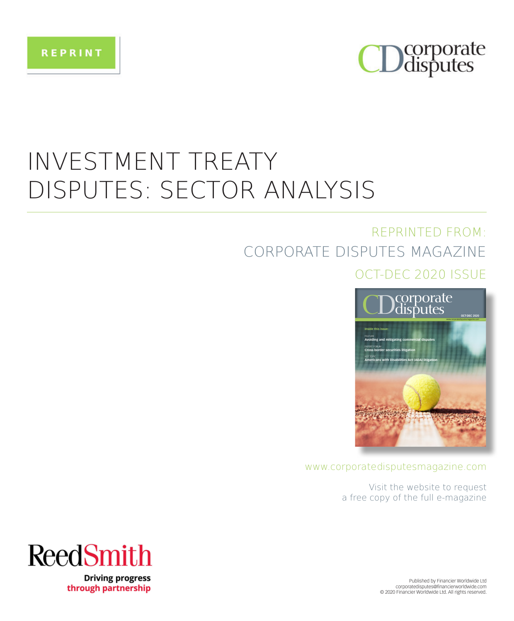



## INVESTMENT TREATY DISPUTES: SECTOR ANALYSIS

### REPRINTED FROM: CORPORATE DISPUTES MAGAZINE OCT-DEC 2020 ISSUE



#### www.corporatedisputesmagazine.com

Visit the website to request a free copy of the full e-magazine



**Driving progress** through partnership

Published by Financier Worldwide Ltd corporatedisputes@financierworldwide.com © 2020 Financier Worldwide Ltd. All rights reserved.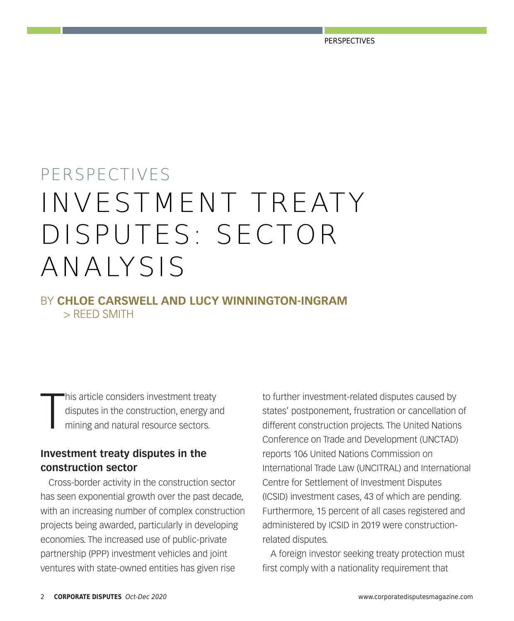# PERSPECTIVES INVESTMENT TREATY DISPUTES: SECTOR ANALYSIS

BY **CHLOE CARSWELL AND LUCY WINNINGTON-INGRAM** > REED SMITH

T his article considers investment treaty disputes in the construction, energy and mining and natural resource sectors.

#### **Investment treaty disputes in the construction sector**

Cross-border activity in the construction sector has seen exponential growth over the past decade, with an increasing number of complex construction projects being awarded, particularly in developing economies. The increased use of public-private partnership (PPP) investment vehicles and joint ventures with state-owned entities has given rise

to further investment-related disputes caused by states' postponement, frustration or cancellation of different construction projects. The United Nations Conference on Trade and Development (UNCTAD) reports 106 United Nations Commission on International Trade Law (UNCITRAL) and International Centre for Settlement of Investment Disputes (ICSID) investment cases, 43 of which are pending. Furthermore, 15 percent of all cases registered and administered by ICSID in 2019 were constructionrelated disputes.

A foreign investor seeking treaty protection must first comply with a nationality requirement that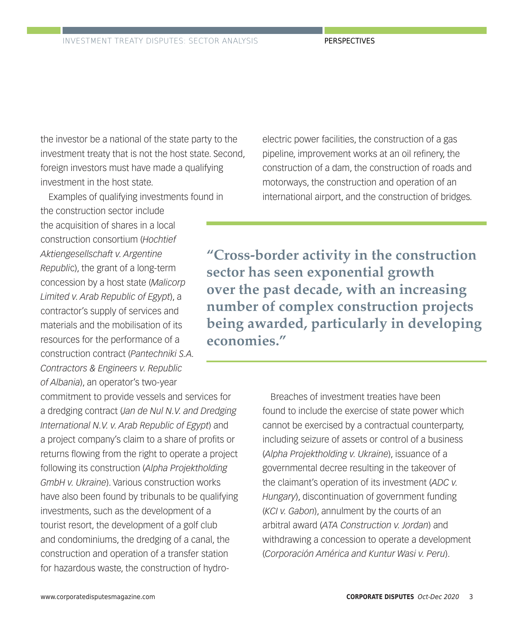the investor be a national of the state party to the investment treaty that is not the host state. Second, foreign investors must have made a qualifying investment in the host state.

Examples of qualifying investments found in the construction sector include the acquisition of shares in a local construction consortium (*Hochtief Aktiengesellschaft v. Argentine Republi*c), the grant of a long-term concession by a host state (*Malicorp Limited v. Arab Republic of Egypt*), a contractor's supply of services and materials and the mobilisation of its resources for the performance of a construction contract (*Pantechniki S.A. Contractors & Engineers v. Republic of Albania*), an operator's two-year

commitment to provide vessels and services for a dredging contract (*Jan de Nul N.V. and Dredging International N.V. v. Arab Republic of Egypt*) and a project company's claim to a share of profits or returns flowing from the right to operate a project following its construction (*Alpha Projektholding GmbH v. Ukraine*). Various construction works have also been found by tribunals to be qualifying investments, such as the development of a tourist resort, the development of a golf club and condominiums, the dredging of a canal, the construction and operation of a transfer station for hazardous waste, the construction of hydroelectric power facilities, the construction of a gas pipeline, improvement works at an oil refinery, the construction of a dam, the construction of roads and motorways, the construction and operation of an international airport, and the construction of bridges.

**"Cross-border activity in the construction sector has seen exponential growth over the past decade, with an increasing number of complex construction projects being awarded, particularly in developing economies."**

> Breaches of investment treaties have been found to include the exercise of state power which cannot be exercised by a contractual counterparty, including seizure of assets or control of a business (*Alpha Projektholding v. Ukraine*), issuance of a governmental decree resulting in the takeover of the claimant's operation of its investment (*ADC v. Hungary*), discontinuation of government funding (*KCI v. Gabon*), annulment by the courts of an arbitral award (*ATA Construction v. Jordan*) and withdrawing a concession to operate a development (*Corporación América and Kuntur Wasi v. Peru*).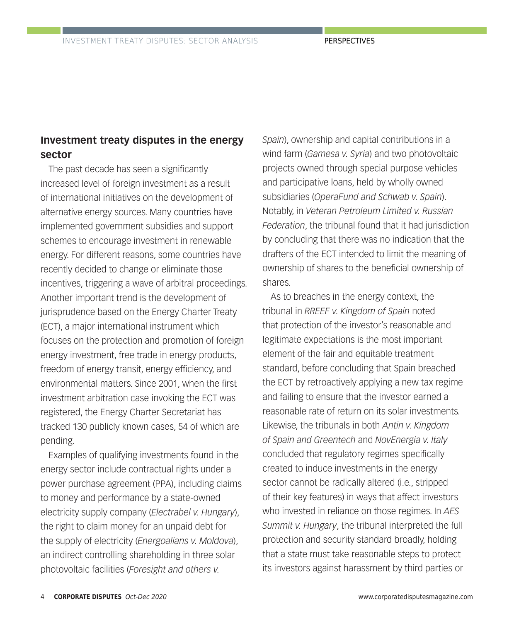### **Investment treaty disputes in the energy sector**

The past decade has seen a significantly increased level of foreign investment as a result of international initiatives on the development of alternative energy sources. Many countries have implemented government subsidies and support schemes to encourage investment in renewable energy. For different reasons, some countries have recently decided to change or eliminate those incentives, triggering a wave of arbitral proceedings. Another important trend is the development of jurisprudence based on the Energy Charter Treaty (ECT), a major international instrument which focuses on the protection and promotion of foreign energy investment, free trade in energy products, freedom of energy transit, energy efficiency, and environmental matters. Since 2001, when the first investment arbitration case invoking the ECT was registered, the Energy Charter Secretariat has tracked 130 publicly known cases, 54 of which are pending.

Examples of qualifying investments found in the energy sector include contractual rights under a power purchase agreement (PPA), including claims to money and performance by a state-owned electricity supply company (*Electrabel v. Hungary*), the right to claim money for an unpaid debt for the supply of electricity (*Energoalians v. Moldova*), an indirect controlling shareholding in three solar photovoltaic facilities (*Foresight and others v.* 

*Spain*), ownership and capital contributions in a wind farm (*Gamesa v. Syria*) and two photovoltaic projects owned through special purpose vehicles and participative loans, held by wholly owned subsidiaries (*OperaFund and Schwab v. Spain*). Notably, in *Veteran Petroleum Limited v. Russian Federation*, the tribunal found that it had jurisdiction by concluding that there was no indication that the drafters of the ECT intended to limit the meaning of ownership of shares to the beneficial ownership of shares.

As to breaches in the energy context, the tribunal in *RREEF v. Kingdom of Spain* noted that protection of the investor's reasonable and legitimate expectations is the most important element of the fair and equitable treatment standard, before concluding that Spain breached the ECT by retroactively applying a new tax regime and failing to ensure that the investor earned a reasonable rate of return on its solar investments. Likewise, the tribunals in both *Antin v. Kingdom of Spain and Greentech* and *NovEnergia v. Italy* concluded that regulatory regimes specifically created to induce investments in the energy sector cannot be radically altered (i.e., stripped of their key features) in ways that affect investors who invested in reliance on those regimes. In *AES Summit v. Hungary*, the tribunal interpreted the full protection and security standard broadly, holding that a state must take reasonable steps to protect its investors against harassment by third parties or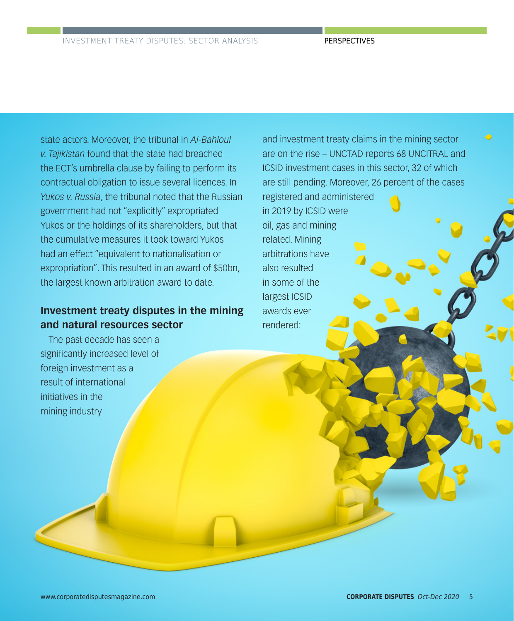state actors. Moreover, the tribunal in *Al-Bahloul v. Tajikistan* found that the state had breached the ECT's umbrella clause by failing to perform its contractual obligation to issue several licences. In *Yukos v. Russia*, the tribunal noted that the Russian government had not "explicitly" expropriated Yukos or the holdings of its shareholders, but that the cumulative measures it took toward Yukos had an effect "equivalent to nationalisation or expropriation". This resulted in an award of \$50bn, the largest known arbitration award to date.

#### **Investment treaty disputes in the mining and natural resources sector**

The past decade has seen a significantly increased level of foreign investment as a result of international initiatives in the mining industry

and investment treaty claims in the mining sector are on the rise – UNCTAD reports 68 UNCITRAL and ICSID investment cases in this sector, 32 of which are still pending. Moreover, 26 percent of the cases

registered and administered in 2019 by ICSID were oil, gas and mining related. Mining arbitrations have also resulted in some of the largest ICSID awards ever rendered: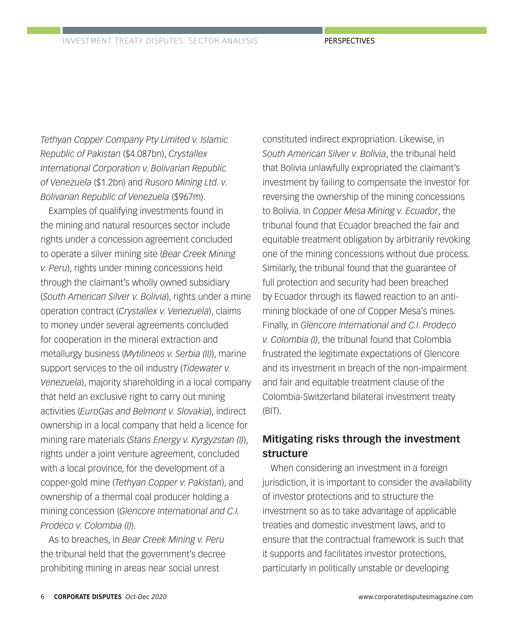*Tethyan Copper Company Pty Limited v. Islamic Republic of Pakistan* (\$4.087bn), *Crystallex International Corporation v. Bolivarian Republic of Venezuela* (\$1.2bn) and *Rusoro Mining Ltd. v. Bolivarian Republic of Venezuela* (\$967m).

Examples of qualifying investments found in the mining and natural resources sector include rights under a concession agreement concluded to operate a silver mining site (*Bear Creek Mining v. Peru*), rights under mining concessions held through the claimant's wholly owned subsidiary (*South American Silver v. Bolivia*), rights under a mine operation contract (*Crystallex v. Venezuela*), claims to money under several agreements concluded for cooperation in the mineral extraction and metallurgy business (*Mytilineos v. Serbia (II)*), marine support services to the oil industry (*Tidewater v. Venezuela*), majority shareholding in a local company that held an exclusive right to carry out mining activities (*EuroGas and Belmont v. Slovakia*), indirect ownership in a local company that held a licence for mining rare materials (*Stans Energy v. Kyrgyzstan (I)*), rights under a joint venture agreement, concluded with a local province, for the development of a copper-gold mine (*Tethyan Copper v. Pakistan*), and ownership of a thermal coal producer holding a mining concession (*Glencore International and C.I. Prodeco v. Colombia (I)*).

As to breaches, in *Bear Creek Mining v. Peru* the tribunal held that the government's decree prohibiting mining in areas near social unrest

constituted indirect expropriation. Likewise, in *South American Silver v. Bolivia*, the tribunal held that Bolivia unlawfully expropriated the claimant's investment by failing to compensate the investor for reversing the ownership of the mining concessions to Bolivia. In *Copper Mesa Mining v. Ecuador*, the tribunal found that Ecuador breached the fair and equitable treatment obligation by arbitrarily revoking one of the mining concessions without due process. Similarly, the tribunal found that the guarantee of full protection and security had been breached by Ecuador through its flawed reaction to an antimining blockade of one of Copper Mesa's mines. Finally, in *Glencore International and C.I. Prodeco v. Colombia (I)*, the tribunal found that Colombia frustrated the legitimate expectations of Glencore and its investment in breach of the non-impairment and fair and equitable treatment clause of the Colombia-Switzerland bilateral investment treaty (BIT).

#### **Mitigating risks through the investment structure**

When considering an investment in a foreign jurisdiction, it is important to consider the availability of investor protections and to structure the investment so as to take advantage of applicable treaties and domestic investment laws, and to ensure that the contractual framework is such that it supports and facilitates investor protections, particularly in politically unstable or developing